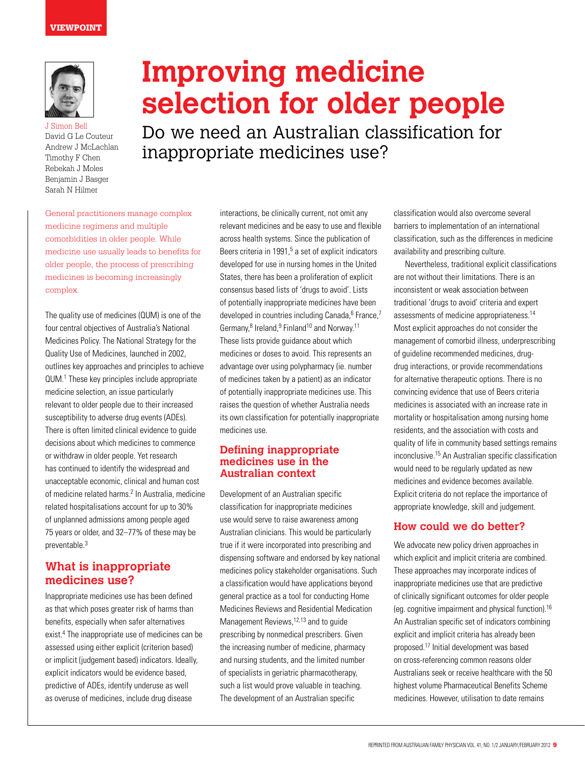### **VIEWPOINT**



J Simon Bell David G Le Couteur Andrew J McLachlan Timothy F Chen Rebekah J Moles Benjamin J Basger Sarah N Hilmer

# **Improving medicine selection for older people**

Do we need an Australian classification for inappropriate medicines use?

General practitioners manage complex medicine regimens and multiple comorbidities in older people. While medicine use usually leads to benefits for older people, the process of prescribing medicines is becoming increasingly complex.

The quality use of medicines (QUM) is one of the four central objectives of Australia's National Medicines Policy. The National Strategy for the Quality Use of Medicines, launched in 2002, outlines key approaches and principles to achieve QUM. <sup>1</sup> These key principles include appropriate medicine selection, an issue particularly relevant to older people due to their increased susceptibility to adverse drug events (ADEs). There is often limited clinical evidence to guide decisions about which medicines to commence or withdraw in older people. Yet research has continued to identify the widespread and unacceptable economic, clinical and human cost of medicine related harms.2 In Australia, medicine related hospitalisations account for up to 30% of unplanned admissions among people aged 75 years or older, and 32–77% of these may be preventable.3

## **What is inappropriate medicines use?**

Inappropriate medicines use has been defined as that which poses greater risk of harms than benefits, especially when safer alternatives exist.<sup>4</sup> The inappropriate use of medicines can be assessed using either explicit (criterion based) or implicit (judgement based) indicators. Ideally, explicit indicators would be evidence based, predictive of ADEs, identify underuse as well as overuse of medicines, include drug disease

interactions, be clinically current, not omit any relevant medicines and be easy to use and flexible across health systems. Since the publication of Beers criteria in 1991,<sup>5</sup> a set of explicit indicators developed for use in nursing homes in the United States, there has been a proliferation of explicit consensus based lists of 'drugs to avoid'. Lists of potentially inappropriate medicines have been developed in countries including Canada,<sup>6</sup> France,<sup>7</sup> Germany,<sup>8</sup> Ireland,<sup>9</sup> Finland<sup>10</sup> and Norway.<sup>11</sup> These lists provide guidance about which medicines or doses to avoid. This represents an advantage over using polypharmacy (ie. number of medicines taken by a patient) as an indicator of potentially inappropriate medicines use. This raises the question of whether Australia needs its own classification for potentially inappropriate medicines use.

## **Defining inappropriate medicines use in the Australian context**

Development of an Australian specific classification for inappropriate medicines use would serve to raise awareness among Australian clinicians. This would be particularly true if it were incorporated into prescribing and dispensing software and endorsed by key national medicines policy stakeholder organisations. Such a classification would have applications beyond general practice as a tool for conducting Home Medicines Reviews and Residential Medication Management Reviews,<sup>12,13</sup> and to guide prescribing by nonmedical prescribers. Given the increasing number of medicine, pharmacy and nursing students, and the limited number of specialists in geriatric pharmacotherapy, such a list would prove valuable in teaching. The development of an Australian specific

classification would also overcome several barriers to implementation of an international classification, such as the differences in medicine availability and prescribing culture.

Nevertheless, traditional explicit classifications are not without their limitations. There is an inconsistent or weak association between traditional 'drugs to avoid' criteria and expert assessments of medicine appropriateness.14 Most explicit approaches do not consider the management of comorbid illness, underprescribing of guideline recommended medicines, drugdrug interactions, or provide recommendations for alternative therapeutic options. There is no convincing evidence that use of Beers criteria medicines is associated with an increase rate in mortality or hospitalisation among nursing home residents, and the association with costs and quality of life in community based settings remains inconclusive.15 An Australian specific classification would need to be regularly updated as new medicines and evidence becomes available. Explicit criteria do not replace the importance of appropriate knowledge, skill and judgement.

# **How could we do better?**

We advocate new policy driven approaches in which explicit and implicit criteria are combined. These approaches may incorporate indices of inappropriate medicines use that are predictive of clinically significant outcomes for older people (eg. cognitive impairment and physical function).16 An Australian specific set of indicators combining explicit and implicit criteria has already been proposed.17 Initial development was based on cross-referencing common reasons older Australians seek or receive healthcare with the 50 highest volume Pharmaceutical Benefits Scheme medicines. However, utilisation to date remains